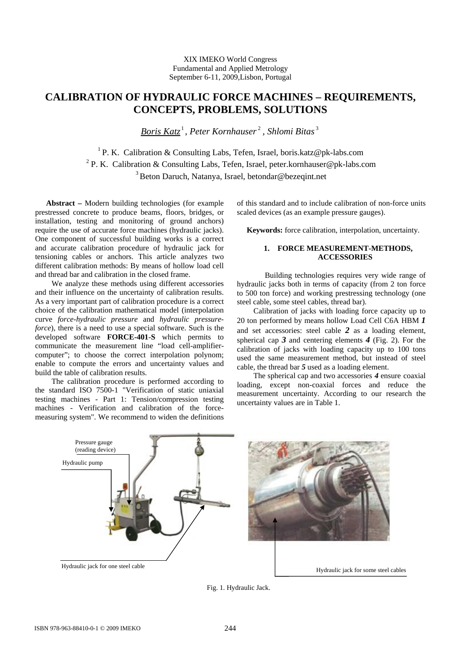XIX IMEKO World Congress Fundamental and Applied Metrology September 6-11, 2009,Lisbon, Portugal

# **CALIBRATION OF HYDRAULIC FORCE MACHINES – REQUIREMENTS, CONCEPTS, PROBLEMS, SOLUTIONS**

*Boris Katz* <sup>1</sup> *, Peter Kornhauser* <sup>2</sup> *, Shlomi Bitas* <sup>3</sup>

<sup>1</sup> P. K. Calibration & Consulting Labs, Tefen, Israel, boris.katz@pk-labs.com <sup>2</sup> P. K. Calibration & Consulting Labs, Tefen, Israel, peter.kornhauser@pk-labs.com <sup>3</sup> Beton Daruch, Natanya, Israel, betondar@bezeqint.net

**Abstract –** Modern building technologies (for example prestressed concrete to produce beams, floors, bridges, or installation, testing and monitoring of ground anchors) require the use of accurate force machines (hydraulic jacks). One component of successful building works is a correct and accurate calibration procedure of hydraulic jack for tensioning cables or anchors. This article analyzes two different calibration methods: By means of hollow load cell and thread bar and calibration in the closed frame.

We analyze these methods using different accessories and their influence on the uncertainty of calibration results. As a very important part of calibration procedure is a correct choice of the calibration mathematical model (interpolation curve *force-hydraulic pressure* and *hydraulic pressureforce*), there is a need to use a special software. Such is the developed software **FORCE-401**-**S** which permits to communicate the measurement line "load cell-amplifiercomputer"; to choose the correct interpolation polynom; enable to compute the errors and uncertainty values and build the table of calibration results.

The calibration procedure is performed according to the standard ISO 7500-1 "Verification of static uniaxial testing machines - Part 1: Tension/compression testing machines - Verification and calibration of the forcemeasuring system". We recommend to widen the definitions

of this standard and to include calibration of non-force units scaled devices (as an example pressure gauges).

 **Keywords:** force calibration, interpolation, uncertainty.

### **1. FORCE MEASUREMENT-METHODS, ACCESSORIES**

 Building technologies requires very wide range of hydraulic jacks both in terms of capacity (from 2 ton force to 500 ton force) and working prestressing technology (one steel cable, some steel cables, thread bar).

Calibration of jacks with loading force capacity up to 20 ton performed by means hollow Load Cell C6A HBM *1* and set accessories: steel cable *2* as a loading element, spherical cap *3* and centering elements *4* (Fig. 2). For the calibration of jacks with loading capacity up to 100 tons used the same measurement method, but instead of steel cable, the thread bar *5* used as a loading element.

The spherical cap and two accessories *4* ensure coaxial loading, except non-coaxial forces and reduce the measurement uncertainty. According to our research the uncertainty values are in Table 1.



Fig. 1. Hydraulic Jack.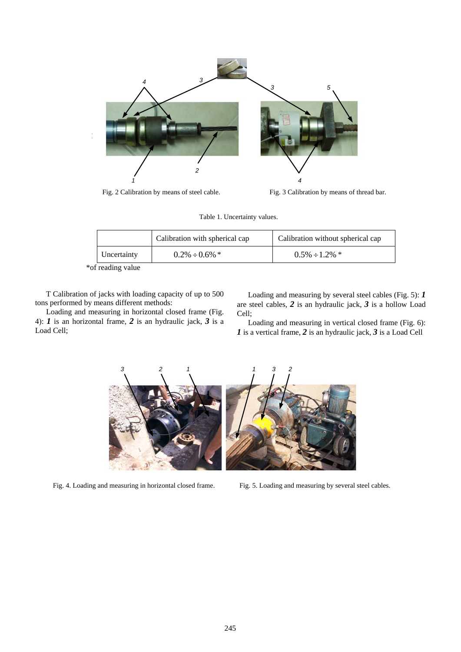

Fig. 2 Calibration by means of steel cable. Fig. 3 Calibration by means of thread bar.

Table 1. Uncertainty values.

|             | Calibration with spherical cap | Calibration without spherical cap |
|-------------|--------------------------------|-----------------------------------|
| Uncertainty | $0.2\% \div 0.6\%$ *           | $0.5\% \div 1.2\%$ *              |

\*of reading value

T Calibration of jacks with loading capacity of up to 500 tons performed by means different methods:

Loading and measuring in horizontal closed frame (Fig. 4): *1* is an horizontal frame, *2* is an hydraulic jack, *3* is a Load Cell;

Loading and measuring by several steel cables (Fig. 5): *1* are steel cables, *2* is an hydraulic jack, *3* is a hollow Load Cell;

Loading and measuring in vertical closed frame (Fig. 6): *1* is a vertical frame, *2* is an hydraulic jack, *3* is a Load Cell



Fig. 4. Loading and measuring in horizontal closed frame. Fig. 5. Loading and measuring by several steel cables.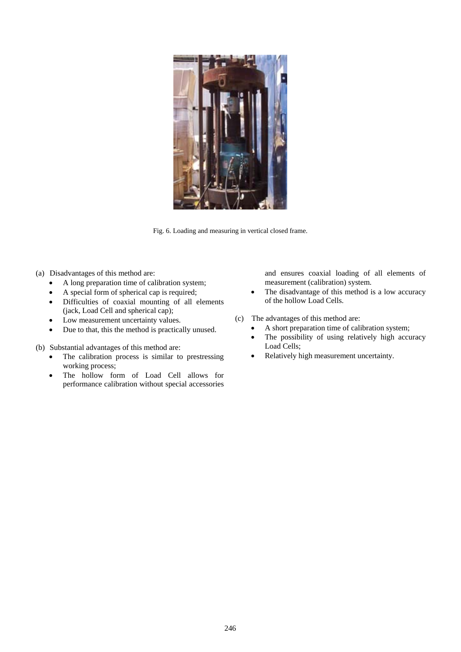

Fig. 6. Loading and measuring in vertical closed frame.

- (a) Disadvantages of this method are:
	- A long preparation time of calibration system;
	- A special form of spherical cap is required;
	- Difficulties of coaxial mounting of all elements (jack, Load Cell and spherical cap);
	- Low measurement uncertainty values.
	- Due to that, this the method is practically unused.
- (b) Substantial advantages of this method are:
	- The calibration process is similar to prestressing working process;
	- The hollow form of Load Cell allows for performance calibration without special accessories

and ensures coaxial loading of all elements of measurement (calibration) system.

- The disadvantage of this method is a low accuracy of the hollow Load Cells.
- (c) The advantages of this method are:
	- A short preparation time of calibration system;
	- The possibility of using relatively high accuracy Load Cells;
	- Relatively high measurement uncertainty.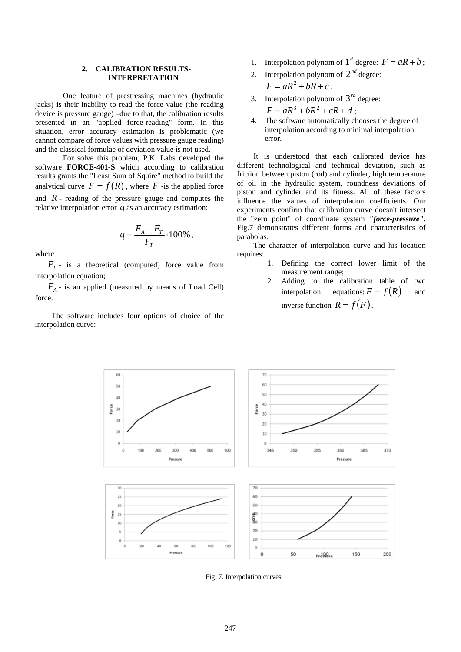#### **2. CALIBRATION RESULTS-INTERPRETATION**

 One feature of prestressing machines (hydraulic jacks) is their inability to read the force value (the reading device is pressure gauge) –due to that, the calibration results presented in an "applied force-reading" form. In this situation, error accuracy estimation is problematic (we cannot compare of force values with pressure gauge reading) and the classical formulae of deviation value is not used.

 For solve this problem, P.K. Labs developed the software **FORCE-401**-**S** which according to calibration results grants the "Least Sum of Squire" method to build the analytical curve  $F = f(R)$ , where  $F$ -is the applied force and  $R$  - reading of the pressure gauge and computes the

relative interpolation error 
$$
q
$$
 as an accuracy estimation:

$$
q = \frac{F_A - F_T}{F_T} \cdot 100\%
$$

where

 $F_T$  - is a theoretical (computed) force value from interpolation equation;

 $F_A$  - is an applied (measured by means of Load Cell) force.

The software includes four options of choice of the interpolation curve:

- 1. Interpolation polynom of  $1^{st}$  degree:  $F = aR + b$ ;
- 2. Interpolation polynom of  $2^{nd}$  degree:  $F = aR^2 + bR + c$ ;
- 3. Interpolation polynom of  $3^{rd}$  degree:

$$
F = aR^3 + bR^2 + cR + d
$$

4. The software automatically chooses the degree of interpolation according to minimal interpolation error.

It is understood that each calibrated device has different technological and technical deviation, such as friction between piston (rod) and cylinder, high temperature of oil in the hydraulic system, roundness deviations of piston and cylinder and its fitness. All of these factors influence the values of interpolation coefficients. Our experiments confirm that calibration curve doesn't intersect the "zero point" of coordinate system *"force-pressure".* Fig.7 demonstrates different forms and characteristics of parabolas.

The character of interpolation curve and his location requires:

- 1. Defining the correct lower limit of the measurement range;
- 2. Adding to the calibration table of two interpolation equations:  $F = f(R)$  and inverse function  $R = f(F)$ .



Fig. 7. Interpolation curves.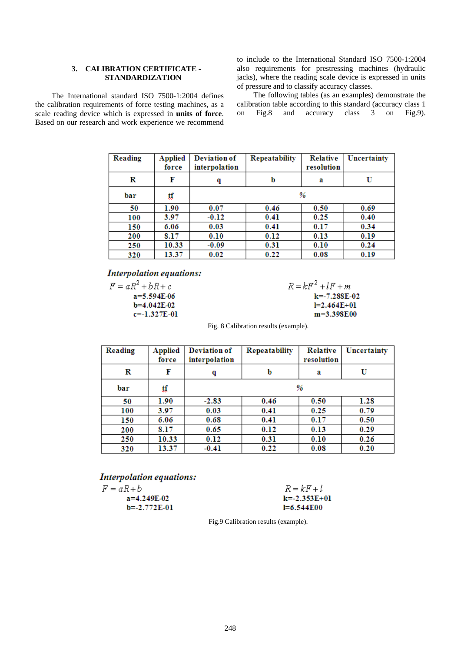### **3. CALIBRATION CERTIFICATE - STANDARDIZATION**

The International standard ISO 7500-1:2004 defines the calibration requirements of force testing machines, as a scale reading device which is expressed in **units of force**. Based on our research and work experience we recommend to include to the International Standard ISO 7500-1:2004 also requirements for prestressing machines (hydraulic jacks), where the reading scale device is expressed in units of pressure and to classify accuracy classes.

The following tables (as an examples) demonstrate the calibration table according to this standard (accuracy class 1 on Fig.8 and accuracy class 3 on Fig.9).

| <b>Reading</b> | <b>Applied</b><br>force | Deviation of<br>interpolation | Repeatability | <b>Relative</b><br>resolution | Uncertainty |
|----------------|-------------------------|-------------------------------|---------------|-------------------------------|-------------|
|                |                         |                               |               |                               |             |
| R              | F                       | q                             | b             | a                             | U           |
| bar            | ₫₫                      | %                             |               |                               |             |
| 50             | 1.90                    | 0.07                          | 0.46          | 0.50                          | 0.69        |
| 100            | 3.97                    | $-0.12$                       | 0.41          | 0.25                          | 0.40        |
| 150            | 6.06                    | 0.03                          | 0.41          | 0.17                          | 0.34        |
| 200            | 8.17                    | 0.10                          | 0.12          | 0.13                          | 0.19        |
| 250            | 10.33                   | $-0.09$                       | 0.31          | 0.10                          | 0.24        |
| 320            | 13.37                   | 0.02                          | 0.22          | 0.08                          | 0.19        |

# **Interpolation equations:**

 $F = aR^2 + bR + c$ a=5.594E-06  $b=4.042E-02$  $c=-1.327E-01$   $R = kF^2 + lF + m$  $k = -7.288E - 02$  $I=2.464E+01$ m=3.398E00

Fig. 8 Calibration results (example).

| <b>Reading</b> | <b>Applied</b><br>force | Deviation of<br>interpolation | Repeatability | <b>Relative</b><br>resolution | Uncertainty |
|----------------|-------------------------|-------------------------------|---------------|-------------------------------|-------------|
| R              | F                       | q                             | b             | а                             | U           |
| bar            | ₫₫                      | %                             |               |                               |             |
| 50             | 1.90                    | $-2.83$                       | 0.46          | 0.50                          | 1.28        |
| 100            | 3.97                    | 0.03                          | 0.41          | 0.25                          | 0.79        |
| 150            | 6.06                    | 0.68                          | 0.41          | 0.17                          | 0.50        |
| 200            | 8.17                    | 0.65                          | 0.12          | 0.13                          | 0.29        |
| 250            | 10.33                   | 0.12                          | 0.31          | 0.10                          | 0.26        |
| 320            | 13.37                   | $-0.41$                       | 0.22          | 0.08                          | 0.20        |

# **Interpolation equations:**

 $a=4.249E-02$ 

 $b = -2.772E - 01$ 

 $F = aR + b$ 

| $R = kF + l$     |
|------------------|
| $k = -2.353E+01$ |
| $I=6.544E00$     |

Fig.9 Calibration results (example).